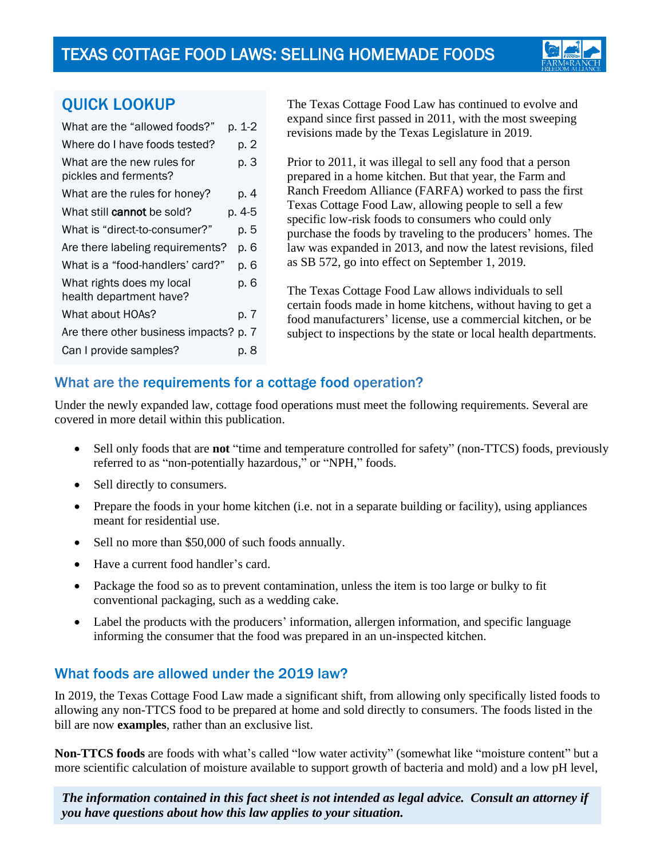

# QUICK LOOKUP

| What are the "allowed foods?"                        | p. 1-2 |
|------------------------------------------------------|--------|
| Where do I have foods tested?                        | p. 2   |
| What are the new rules for<br>pickles and ferments?  | p. 3   |
| What are the rules for honey?                        | p. 4   |
| What still cannot be sold?                           | p. 4-5 |
| What is "direct-to-consumer?"                        | p. 5   |
| Are there labeling requirements?                     | p. 6   |
| What is a "food-handlers' card?"                     | p. 6   |
| What rights does my local<br>health department have? | p. 6   |
| What about HOAs?                                     | p. 7   |
| Are there other business impacts? p. 7               |        |
| Can I provide samples?                               | p. 8   |

The Texas Cottage Food Law has continued to evolve and expand since first passed in 2011, with the most sweeping revisions made by the Texas Legislature in 2019.

Prior to 2011, it was illegal to sell any food that a person prepared in a home kitchen. But that year, the Farm and Ranch Freedom Alliance (FARFA) worked to pass the first Texas Cottage Food Law, allowing people to sell a few specific low-risk foods to consumers who could only purchase the foods by traveling to the producers' homes. The law was expanded in 2013, and now the latest revisions, filed as SB 572, go into effect on September 1, 2019.

The Texas Cottage Food Law allows individuals to sell certain foods made in home kitchens, without having to get a food manufacturers' license, use a commercial kitchen, or be subject to inspections by the state or local health departments.

## What are the requirements for a cottage food operation?

Under the newly expanded law, cottage food operations must meet the following requirements. Several are covered in more detail within this publication.

- Sell only foods that are **not** "time and temperature controlled for safety" (non-TTCS) foods, previously referred to as "non-potentially hazardous," or "NPH," foods.
- Sell directly to consumers.
- Prepare the foods in your home kitchen (i.e. not in a separate building or facility), using appliances meant for residential use.
- Sell no more than \$50,000 of such foods annually.
- Have a current food handler's card.
- Package the food so as to prevent contamination, unless the item is too large or bulky to fit conventional packaging, such as a wedding cake.
- Label the products with the producers' information, allergen information, and specific language informing the consumer that the food was prepared in an un-inspected kitchen.

### What foods are allowed under the 2019 law?

In 2019, the Texas Cottage Food Law made a significant shift, from allowing only specifically listed foods to allowing any non-TTCS food to be prepared at home and sold directly to consumers. The foods listed in the bill are now **examples**, rather than an exclusive list.

**Non-TTCS foods** are foods with what's called "low water activity" (somewhat like "moisture content" but a more scientific calculation of moisture available to support growth of bacteria and mold) and a low pH level,

*The information contained in this fact sheet is not intended as legal advice. Consult an attorney if you have questions about how this law applies to your situation.*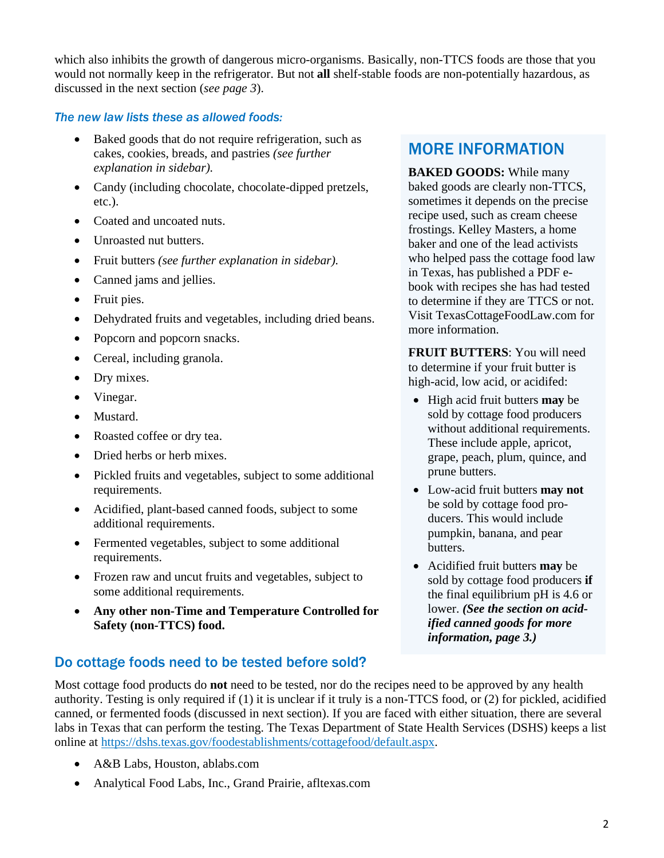which also inhibits the growth of dangerous micro-organisms. Basically, non-TTCS foods are those that you would not normally keep in the refrigerator. But not **all** shelf-stable foods are non-potentially hazardous, as discussed in the next section (*see page 3*).

#### *The new law lists these as allowed foods:*

- Baked goods that do not require refrigeration, such as cakes, cookies, breads, and pastries *(see further explanation in sidebar).*
- Candy (including chocolate, chocolate-dipped pretzels, etc.).
- Coated and uncoated nuts.
- Unroasted nut butters.
- Fruit butters *(see further explanation in sidebar).*
- Canned jams and jellies.
- Fruit pies.
- Dehydrated fruits and vegetables, including dried beans.
- Popcorn and popcorn snacks.
- Cereal, including granola.
- Dry mixes.
- Vinegar.
- Mustard.
- Roasted coffee or dry tea.
- Dried herbs or herb mixes.
- Pickled fruits and vegetables, subject to some additional requirements.
- Acidified, plant-based canned foods, subject to some additional requirements.
- Fermented vegetables, subject to some additional requirements.
- Frozen raw and uncut fruits and vegetables, subject to some additional requirements.
- **Any other non-Time and Temperature Controlled for Safety (non-TTCS) food.**

# Do cottage foods need to be tested before sold?

# MORE INFORMATION

**BAKED GOODS:** While many baked goods are clearly non-TTCS, sometimes it depends on the precise recipe used, such as cream cheese frostings. Kelley Masters, a home baker and one of the lead activists who helped pass the cottage food law in Texas, has published a PDF ebook with recipes she has had tested to determine if they are TTCS or not. Visit [TexasCottageFoodLaw.com](http://www.texascottagefoodlaw.com/) for more information.

**FRUIT BUTTERS**: You will need to determine if your fruit butter is high-acid, low acid, or acidifed:

- High acid fruit butters **may** be sold by cottage food producers without additional requirements. These include apple, apricot, grape, peach, plum, quince, and prune butters.
- Low-acid fruit butters **may not** be sold by cottage food producers. This would include pumpkin, banana, and pear butters.
- Acidified fruit butters **may** be sold by cottage food producers **if**  the final equilibrium pH is 4.6 or lower. *(See the section on acidified canned goods for more information, page 3.)*

Most cottage food products do **not** need to be tested, nor do the recipes need to be approved by any health authority. Testing is only required if (1) it is unclear if it truly is a non-TTCS food, or (2) for pickled, acidified canned, or fermented foods (discussed in next section). If you are faced with either situation, there are several labs in Texas that can perform the testing. The Texas Department of State Health Services (DSHS) keeps a list online at [https://dshs.texas.gov/foodestablishments/cottagefood/default.aspx.](https://dshs.texas.gov/foodestablishments/cottagefood/default.aspx)

- A&B Labs, Houston, ablabs.com
- Analytical Food Labs, Inc., Grand Prairie, afltexas.com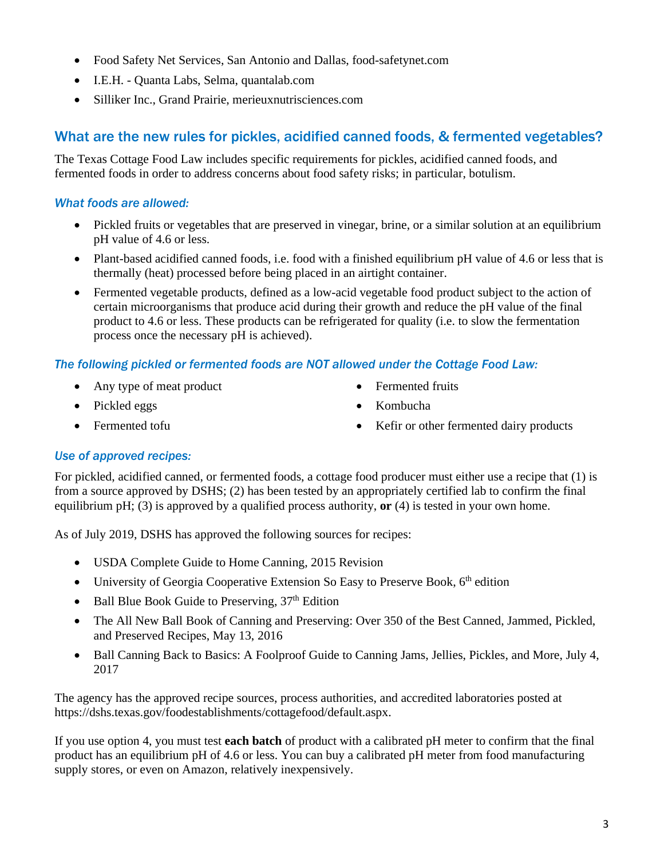- Food Safety Net Services, San Antonio and Dallas, food-safetynet.com
- I.E.H. Quanta Labs, Selma, quantalab.com
- Silliker Inc., Grand Prairie, merieuxnutrisciences.com

### What are the new rules for pickles, acidified canned foods, & fermented vegetables?

The Texas Cottage Food Law includes specific requirements for pickles, acidified canned foods, and fermented foods in order to address concerns about food safety risks; in particular, botulism.

#### *What foods are allowed:*

- Pickled fruits or vegetables that are preserved in vinegar, brine, or a similar solution at an equilibrium pH value of 4.6 or less.
- Plant-based acidified canned foods, i.e. food with a finished equilibrium pH value of 4.6 or less that is thermally (heat) processed before being placed in an airtight container.
- Fermented vegetable products, defined as a low-acid vegetable food product subject to the action of certain microorganisms that produce acid during their growth and reduce the pH value of the final product to 4.6 or less. These products can be refrigerated for quality (i.e. to slow the fermentation process once the necessary pH is achieved).

#### *The following pickled or fermented foods are NOT allowed under the Cottage Food Law:*

- Any type of meat product
- Pickled eggs
- Fermented tofu
- Fermented fruits
- Kombucha
- Kefir or other fermented dairy products

#### *Use of approved recipes:*

For pickled, acidified canned, or fermented foods, a cottage food producer must either use a recipe that (1) is from a source approved by DSHS; (2) has been tested by an appropriately certified lab to confirm the final equilibrium pH; (3) is approved by a qualified process authority, **or** (4) is tested in your own home.

As of July 2019, DSHS has approved the following sources for recipes:

- USDA Complete Guide to Home Canning, 2015 Revision
- University of Georgia Cooperative Extension So Easy to Preserve Book,  $6<sup>th</sup>$  edition
- Ball Blue Book Guide to Preserving,  $37<sup>th</sup>$  Edition
- The All New Ball Book of Canning and Preserving: Over 350 of the Best Canned, Jammed, Pickled, and Preserved Recipes, May 13, 2016
- Ball Canning Back to Basics: A Foolproof Guide to Canning Jams, Jellies, Pickles, and More, July 4, 2017

The agency has the approved recipe sources, process authorities, and accredited laboratories posted at https://dshs.texas.gov/foodestablishments/cottagefood/default.aspx.

If you use option 4, you must test **each batch** of product with a calibrated pH meter to confirm that the final product has an equilibrium pH of 4.6 or less. You can buy a calibrated pH meter from food manufacturing supply stores, or even on Amazon, relatively inexpensively.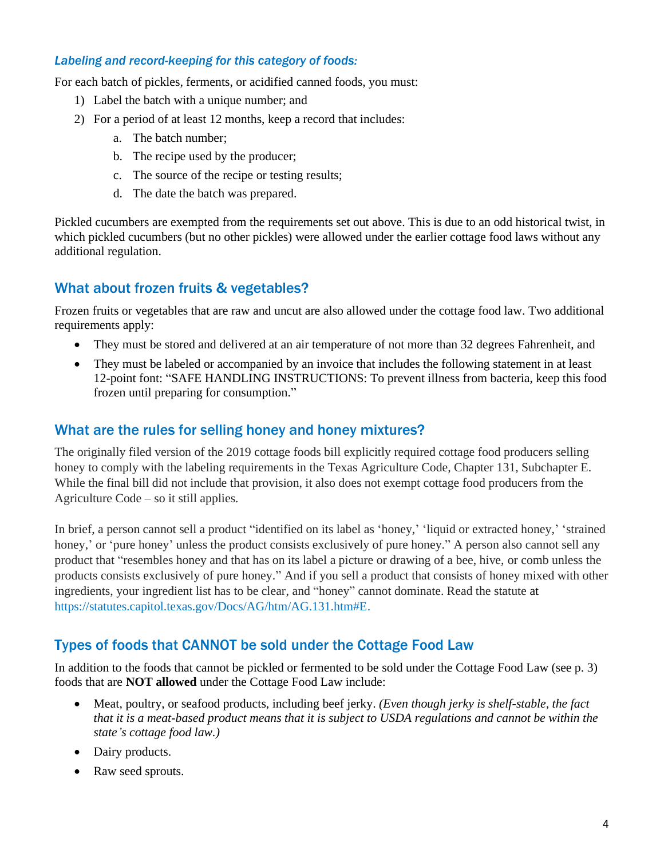#### *Labeling and record-keeping for this category of foods:*

For each batch of pickles, ferments, or acidified canned foods, you must:

- 1) Label the batch with a unique number; and
- 2) For a period of at least 12 months, keep a record that includes:
	- a. The batch number;
	- b. The recipe used by the producer;
	- c. The source of the recipe or testing results;
	- d. The date the batch was prepared.

Pickled cucumbers are exempted from the requirements set out above. This is due to an odd historical twist, in which pickled cucumbers (but no other pickles) were allowed under the earlier cottage food laws without any additional regulation.

## What about frozen fruits & vegetables?

Frozen fruits or vegetables that are raw and uncut are also allowed under the cottage food law. Two additional requirements apply:

- They must be stored and delivered at an air temperature of not more than 32 degrees Fahrenheit, and
- They must be labeled or accompanied by an invoice that includes the following statement in at least 12-point font: "SAFE HANDLING INSTRUCTIONS: To prevent illness from bacteria, keep this food frozen until preparing for consumption."

### What are the rules for selling honey and honey mixtures?

The originally filed version of the 2019 cottage foods bill explicitly required cottage food producers selling honey to comply with the labeling requirements in the Texas Agriculture Code, Chapter 131, Subchapter E. While the final bill did not include that provision, it also does not exempt cottage food producers from the Agriculture Code – so it still applies.

In brief, a person cannot sell a product "identified on its label as 'honey,' 'liquid or extracted honey,' 'strained honey,' or 'pure honey' unless the product consists exclusively of pure honey." A person also cannot sell any product that "resembles honey and that has on its label a picture or drawing of a bee, hive, or comb unless the products consists exclusively of pure honey." And if you sell a product that consists of honey mixed with other ingredients, your ingredient list has to be clear, and "honey" cannot dominate. Read the statute at [https://statutes.capitol.texas.gov/Docs/AG/htm/AG.131.htm#E.](https://statutes.capitol.texas.gov/Docs/AG/htm/AG.131.htm#E)

### Types of foods that CANNOT be sold under the Cottage Food Law

In addition to the foods that cannot be pickled or fermented to be sold under the Cottage Food Law (see p. 3) foods that are **NOT allowed** under the Cottage Food Law include:

- Meat, poultry, or seafood products, including beef jerky. *(Even though jerky is shelf-stable, the fact that it is a meat-based product means that it is subject to USDA regulations and cannot be within the state's cottage food law.)*
- Dairy products.
- Raw seed sprouts.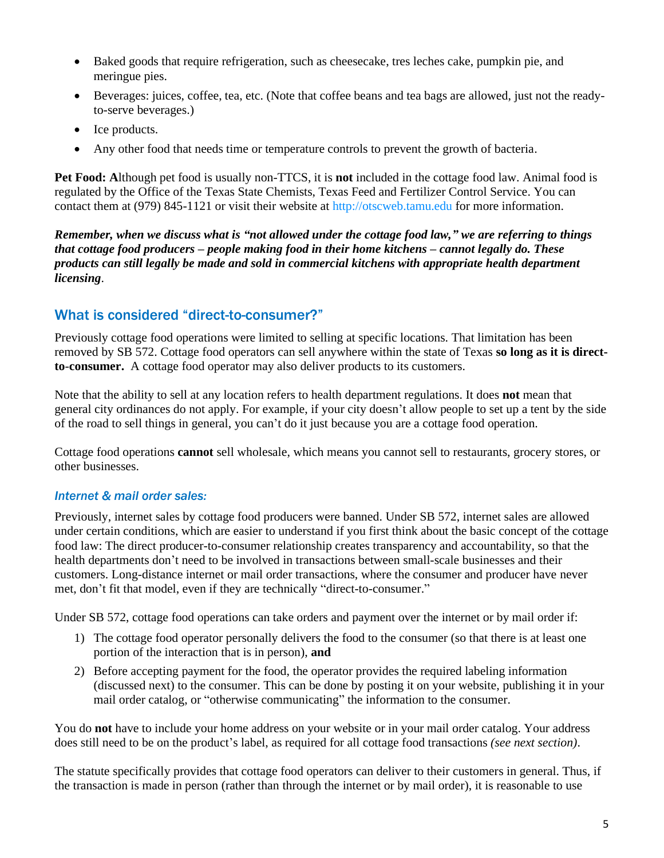- Baked goods that require refrigeration, such as cheesecake, tres leches cake, pumpkin pie, and meringue pies.
- Beverages: juices, coffee, tea, etc. (Note that coffee beans and tea bags are allowed, just not the readyto-serve beverages.)
- Ice products.
- Any other food that needs time or temperature controls to prevent the growth of bacteria.

**Pet Food: A**lthough pet food is usually non-TTCS, it is **not** included in the cottage food law. Animal food is regulated by the Office of the Texas State Chemists, Texas Feed and Fertilizer Control Service. You can contact them at (979) 845-1121 or visit their website at [http://otscweb.tamu.edu](http://otscweb.tamu.edu/) for more information.

*Remember, when we discuss what is "not allowed under the cottage food law," we are referring to things that cottage food producers – people making food in their home kitchens – cannot legally do. These products can still legally be made and sold in commercial kitchens with appropriate health department licensing*.

# What is considered "direct-to-consumer?"

Previously cottage food operations were limited to selling at specific locations. That limitation has been removed by SB 572. Cottage food operators can sell anywhere within the state of Texas **so long as it is directto**-**consumer.** A cottage food operator may also deliver products to its customers.

Note that the ability to sell at any location refers to health department regulations. It does **not** mean that general city ordinances do not apply. For example, if your city doesn't allow people to set up a tent by the side of the road to sell things in general, you can't do it just because you are a cottage food operation.

Cottage food operations **cannot** sell wholesale, which means you cannot sell to restaurants, grocery stores, or other businesses.

### *Internet & mail order sales:*

Previously, internet sales by cottage food producers were banned. Under SB 572, internet sales are allowed under certain conditions, which are easier to understand if you first think about the basic concept of the cottage food law: The direct producer-to-consumer relationship creates transparency and accountability, so that the health departments don't need to be involved in transactions between small-scale businesses and their customers. Long-distance internet or mail order transactions, where the consumer and producer have never met, don't fit that model, even if they are technically "direct-to-consumer."

Under SB 572, cottage food operations can take orders and payment over the internet or by mail order if:

- 1) The cottage food operator personally delivers the food to the consumer (so that there is at least one portion of the interaction that is in person), **and**
- 2) Before accepting payment for the food, the operator provides the required labeling information (discussed next) to the consumer. This can be done by posting it on your website, publishing it in your mail order catalog, or "otherwise communicating" the information to the consumer.

You do **not** have to include your home address on your website or in your mail order catalog. Your address does still need to be on the product's label, as required for all cottage food transactions *(see next section)*.

The statute specifically provides that cottage food operators can deliver to their customers in general. Thus, if the transaction is made in person (rather than through the internet or by mail order), it is reasonable to use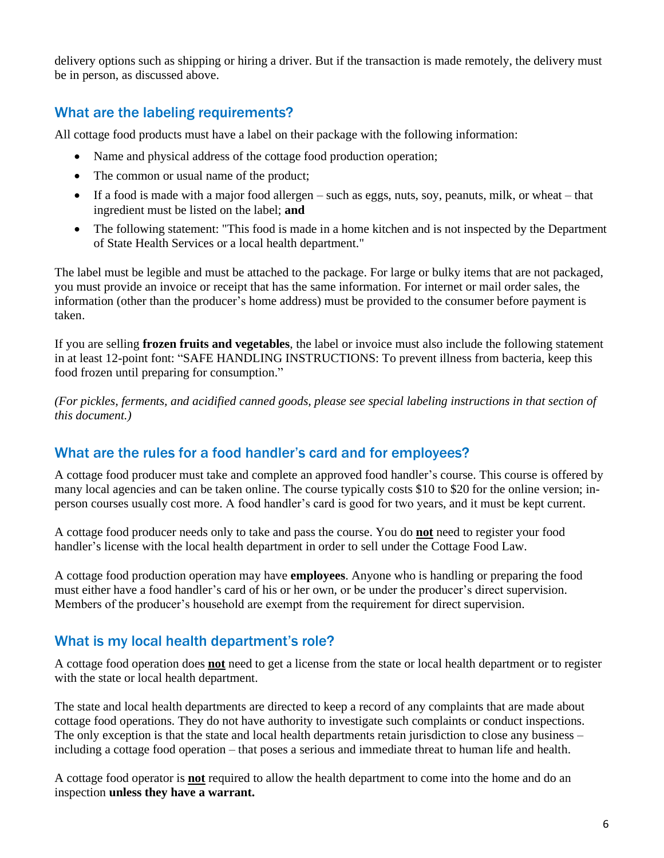delivery options such as shipping or hiring a driver. But if the transaction is made remotely, the delivery must be in person, as discussed above.

# What are the labeling requirements?

All cottage food products must have a label on their package with the following information:

- Name and physical address of the cottage food production operation;
- The common or usual name of the product;
- If a food is made with a major food allergen such as eggs, nuts, soy, peanuts, milk, or wheat that ingredient must be listed on the label; **and**
- The following statement: "This food is made in a home kitchen and is not inspected by the Department of State Health Services or a local health department."

The label must be legible and must be attached to the package. For large or bulky items that are not packaged, you must provide an invoice or receipt that has the same information. For internet or mail order sales, the information (other than the producer's home address) must be provided to the consumer before payment is taken.

If you are selling **frozen fruits and vegetables**, the label or invoice must also include the following statement in at least 12-point font: "SAFE HANDLING INSTRUCTIONS: To prevent illness from bacteria, keep this food frozen until preparing for consumption."

*(For pickles, ferments, and acidified canned goods, please see special labeling instructions in that section of this document.)*

### What are the rules for a food handler's card and for employees?

A cottage food producer must take and complete an approved food handler's course. This course is offered by many local agencies and can be taken online. The course typically costs \$10 to \$20 for the online version; inperson courses usually cost more. A food handler's card is good for two years, and it must be kept current.

A cottage food producer needs only to take and pass the course. You do **not** need to register your food handler's license with the local health department in order to sell under the Cottage Food Law.

A cottage food production operation may have **employees**. Anyone who is handling or preparing the food must either have a food handler's card of his or her own, or be under the producer's direct supervision. Members of the producer's household are exempt from the requirement for direct supervision.

### What is my local health department's role?

A cottage food operation does **not** need to get a license from the state or local health department or to register with the state or local health department.

The state and local health departments are directed to keep a record of any complaints that are made about cottage food operations. They do not have authority to investigate such complaints or conduct inspections. The only exception is that the state and local health departments retain jurisdiction to close any business – including a cottage food operation – that poses a serious and immediate threat to human life and health.

A cottage food operator is **not** required to allow the health department to come into the home and do an inspection **unless they have a warrant.**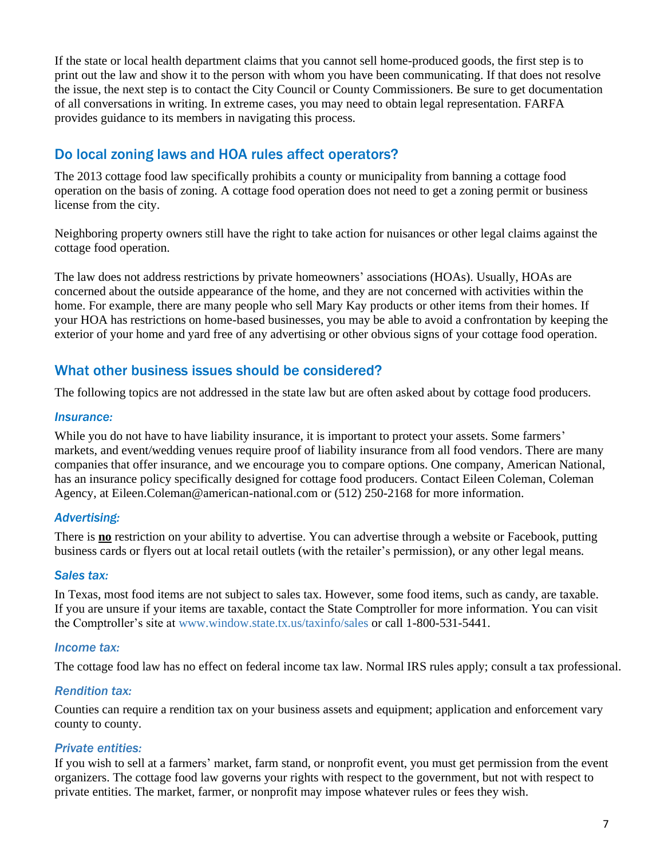If the state or local health department claims that you cannot sell home-produced goods, the first step is to print out the law and show it to the person with whom you have been communicating. If that does not resolve the issue, the next step is to contact the City Council or County Commissioners. Be sure to get documentation of all conversations in writing. In extreme cases, you may need to obtain legal representation. FARFA provides guidance to its members in navigating this process.

### Do local zoning laws and HOA rules affect operators?

The 2013 cottage food law specifically prohibits a county or municipality from banning a cottage food operation on the basis of zoning. A cottage food operation does not need to get a zoning permit or business license from the city.

Neighboring property owners still have the right to take action for nuisances or other legal claims against the cottage food operation.

The law does not address restrictions by private homeowners' associations (HOAs). Usually, HOAs are concerned about the outside appearance of the home, and they are not concerned with activities within the home. For example, there are many people who sell Mary Kay products or other items from their homes. If your HOA has restrictions on home-based businesses, you may be able to avoid a confrontation by keeping the exterior of your home and yard free of any advertising or other obvious signs of your cottage food operation.

## What other business issues should be considered?

The following topics are not addressed in the state law but are often asked about by cottage food producers.

#### *Insurance:*

While you do not have to have liability insurance, it is important to protect your assets. Some farmers' markets, and event/wedding venues require proof of liability insurance from all food vendors. There are many companies that offer insurance, and we encourage you to compare options. One company, American National, has an insurance policy specifically designed for cottage food producers. Contact Eileen Coleman, Coleman Agency, at [Eileen.Coleman@american-national.com](mailto:Eileen.Coleman@american-national.com) or (512) 250-2168 for more information.

#### *Advertising:*

There is **no** restriction on your ability to advertise. You can advertise through a website or Facebook, putting business cards or flyers out at local retail outlets (with the retailer's permission), or any other legal means.

#### *Sales tax:*

In Texas, most food items are not subject to sales tax. However, some food items, such as candy, are taxable. If you are unsure if your items are taxable, contact the State Comptroller for more information. You can visit the Comptroller's site at [www.window.state.tx.us/taxinfo/sales](http://www.window.state.tx.us/taxinfo/sales) or call 1-800-531-5441.

#### *Income tax:*

The cottage food law has no effect on federal income tax law. Normal IRS rules apply; consult a tax professional.

#### *Rendition tax:*

Counties can require a rendition tax on your business assets and equipment; application and enforcement vary county to county.

#### *Private entities:*

If you wish to sell at a farmers' market, farm stand, or nonprofit event, you must get permission from the event organizers. The cottage food law governs your rights with respect to the government, but not with respect to private entities. The market, farmer, or nonprofit may impose whatever rules or fees they wish.